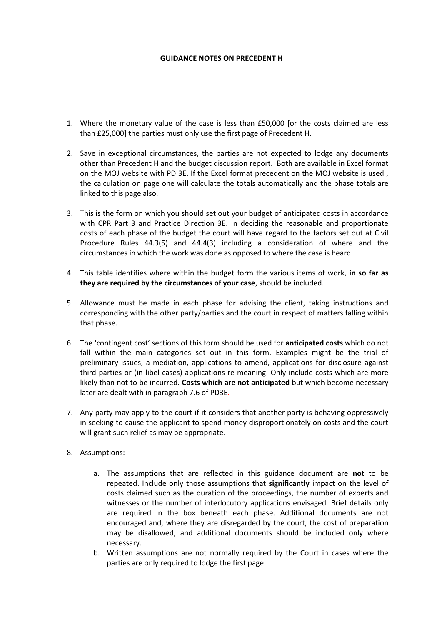## **GUIDANCE NOTES ON PRECEDENT H**

- 1. Where the monetary value of the case is less than £50,000 [or the costs claimed are less than £25,000] the parties must only use the first page of Precedent H.
- 2. Save in exceptional circumstances, the parties are not expected to lodge any documents other than Precedent H and the budget discussion report. Both are available in Excel format on the MOJ website with PD 3E. If the Excel format precedent on the MOJ website is used , the calculation on page one will calculate the totals automatically and the phase totals are linked to this page also.
- 3. This is the form on which you should set out your budget of anticipated costs in accordance with CPR Part 3 and Practice Direction 3E. In deciding the reasonable and proportionate costs of each phase of the budget the court will have regard to the factors set out at Civil Procedure Rules 44.3(5) and 44.4(3) including a consideration of where and the circumstances in which the work was done as opposed to where the case is heard.
- 4. This table identifies where within the budget form the various items of work, **in so far as they are required by the circumstances of your case**, should be included.
- 5. Allowance must be made in each phase for advising the client, taking instructions and corresponding with the other party/parties and the court in respect of matters falling within that phase.
- 6. The 'contingent cost' sections of this form should be used for **anticipated costs** which do not fall within the main categories set out in this form. Examples might be the trial of preliminary issues, a mediation, applications to amend, applications for disclosure against third parties or (in libel cases) applications re meaning. Only include costs which are more likely than not to be incurred. **Costs which are not anticipated** but which become necessary later are dealt with in paragraph 7.6 of PD3E.
- 7. Any party may apply to the court if it considers that another party is behaving oppressively in seeking to cause the applicant to spend money disproportionately on costs and the court will grant such relief as may be appropriate.
- 8. Assumptions:
	- a. The assumptions that are reflected in this guidance document are **not** to be repeated. Include only those assumptions that **significantly** impact on the level of costs claimed such as the duration of the proceedings, the number of experts and witnesses or the number of interlocutory applications envisaged. Brief details only are required in the box beneath each phase. Additional documents are not encouraged and, where they are disregarded by the court, the cost of preparation may be disallowed, and additional documents should be included only where necessary.
	- b. Written assumptions are not normally required by the Court in cases where the parties are only required to lodge the first page.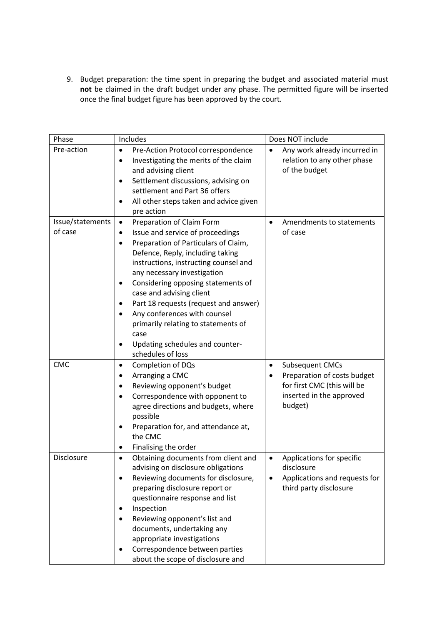9. Budget preparation: the time spent in preparing the budget and associated material must **not** be claimed in the draft budget under any phase. The permitted figure will be inserted once the final budget figure has been approved by the court.

| Phase            | Includes                                                                                                                                                                                                                                                                                                                                                                                                                                                              | Does NOT include                                                                                                |
|------------------|-----------------------------------------------------------------------------------------------------------------------------------------------------------------------------------------------------------------------------------------------------------------------------------------------------------------------------------------------------------------------------------------------------------------------------------------------------------------------|-----------------------------------------------------------------------------------------------------------------|
| Pre-action       | Pre-Action Protocol correspondence<br>$\bullet$<br>Investigating the merits of the claim<br>$\bullet$<br>and advising client<br>Settlement discussions, advising on<br>$\bullet$<br>settlement and Part 36 offers<br>All other steps taken and advice given<br>$\bullet$<br>pre action                                                                                                                                                                                | Any work already incurred in<br>$\bullet$<br>relation to any other phase<br>of the budget                       |
| Issue/statements | Preparation of Claim Form<br>$\bullet$                                                                                                                                                                                                                                                                                                                                                                                                                                | Amendments to statements<br>$\bullet$                                                                           |
| of case          | Issue and service of proceedings<br>$\bullet$<br>Preparation of Particulars of Claim,<br>$\bullet$<br>Defence, Reply, including taking<br>instructions, instructing counsel and<br>any necessary investigation<br>Considering opposing statements of<br>case and advising client<br>Part 18 requests (request and answer)<br>٠<br>Any conferences with counsel<br>primarily relating to statements of<br>case<br>Updating schedules and counter-<br>schedules of loss | of case                                                                                                         |
| <b>CMC</b>       | Completion of DQs<br>$\bullet$                                                                                                                                                                                                                                                                                                                                                                                                                                        | Subsequent CMCs<br>$\bullet$                                                                                    |
|                  | Arranging a CMC<br>٠<br>Reviewing opponent's budget<br>$\bullet$<br>Correspondence with opponent to<br>$\bullet$<br>agree directions and budgets, where<br>possible<br>Preparation for, and attendance at,<br>the CMC<br>Finalising the order<br>٠                                                                                                                                                                                                                    | Preparation of costs budget<br>for first CMC (this will be<br>inserted in the approved<br>budget)               |
| Disclosure       | Obtaining documents from client and<br>$\bullet$<br>advising on disclosure obligations<br>Reviewing documents for disclosure,<br>preparing disclosure report or<br>questionnaire response and list<br>Inspection<br>٠<br>Reviewing opponent's list and<br>documents, undertaking any<br>appropriate investigations<br>Correspondence between parties<br>about the scope of disclosure and                                                                             | Applications for specific<br>$\bullet$<br>disclosure<br>Applications and requests for<br>third party disclosure |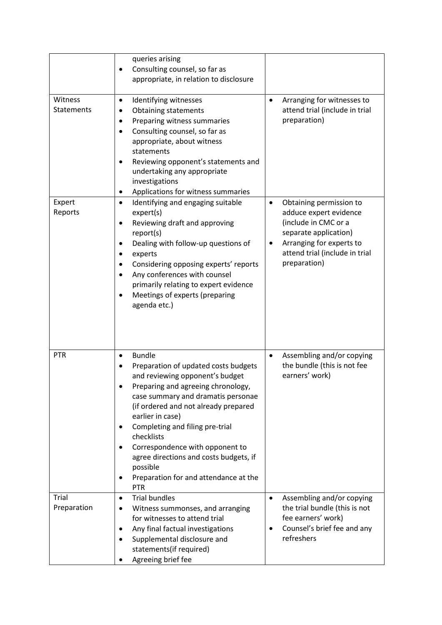|                              | queries arising<br>Consulting counsel, so far as<br>$\bullet$<br>appropriate, in relation to disclosure                                                                                                                                                                                                                                                                                                                    |                                                                                                                                                                                                    |
|------------------------------|----------------------------------------------------------------------------------------------------------------------------------------------------------------------------------------------------------------------------------------------------------------------------------------------------------------------------------------------------------------------------------------------------------------------------|----------------------------------------------------------------------------------------------------------------------------------------------------------------------------------------------------|
| Witness<br><b>Statements</b> | Identifying witnesses<br>$\bullet$<br><b>Obtaining statements</b><br>Preparing witness summaries<br>٠<br>Consulting counsel, so far as<br>$\bullet$<br>appropriate, about witness<br>statements<br>Reviewing opponent's statements and<br>$\bullet$<br>undertaking any appropriate<br>investigations<br>Applications for witness summaries<br>٠                                                                            | Arranging for witnesses to<br>$\bullet$<br>attend trial (include in trial<br>preparation)                                                                                                          |
| Expert<br>Reports            | Identifying and engaging suitable<br>$\bullet$<br>expert(s)<br>Reviewing draft and approving<br>٠<br>report(s)<br>Dealing with follow-up questions of<br>٠<br>experts<br>Considering opposing experts' reports<br>Any conferences with counsel<br>$\bullet$<br>primarily relating to expert evidence<br>Meetings of experts (preparing<br>$\bullet$<br>agenda etc.)                                                        | Obtaining permission to<br>$\bullet$<br>adduce expert evidence<br>(include in CMC or a<br>separate application)<br>Arranging for experts to<br>٠<br>attend trial (include in trial<br>preparation) |
| PTR                          | <b>Bundle</b><br>Preparation of updated costs budgets<br>and reviewing opponent's budget<br>Preparing and agreeing chronology,<br>case summary and dramatis personae<br>(if ordered and not already prepared<br>earlier in case)<br>Completing and filing pre-trial<br>checklists<br>Correspondence with opponent to<br>agree directions and costs budgets, if<br>possible<br>Preparation for and attendance at the<br>PTR | Assembling and/or copying<br>$\bullet$<br>the bundle (this is not fee<br>earners' work)                                                                                                            |
| Trial<br>Preparation         | <b>Trial bundles</b><br>$\bullet$<br>Witness summonses, and arranging<br>for witnesses to attend trial<br>Any final factual investigations<br>Supplemental disclosure and<br>statements(if required)<br>Agreeing brief fee                                                                                                                                                                                                 | Assembling and/or copying<br>$\bullet$<br>the trial bundle (this is not<br>fee earners' work)<br>Counsel's brief fee and any<br>٠<br>refreshers                                                    |